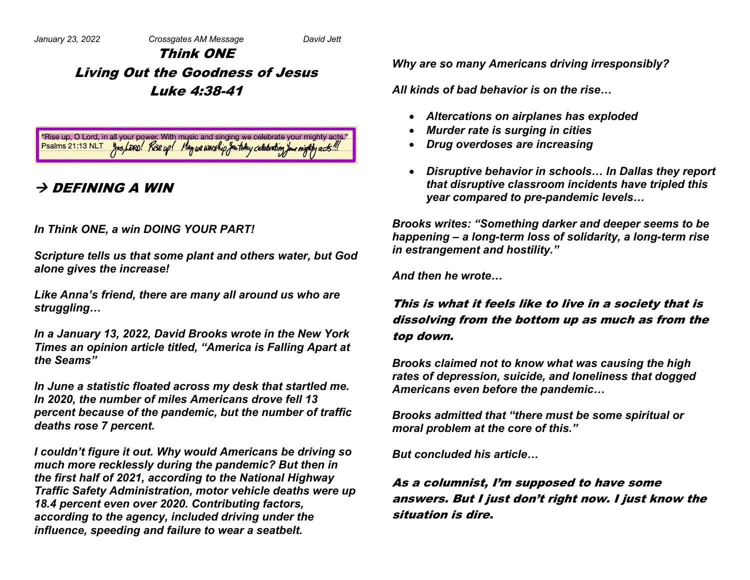# Think ONE Living Out the Goodness of Jesus Luke 4:38-41

"Rise up, O Lord, in all your power. With music and singing we celebrate your mighty acts." Psalms 21:13 NLT yes, LDRD! Rise up! May we worship you to buy celebrating your mighty acts!

## $\rightarrow$  Defining a win

#### *In Think ONE, a win DOING YOUR PART!*

*Scripture tells us that some plant and others water, but God alone gives the increase!*

*Like Anna's friend, there are many all around us who are struggling…*

*In a January 13, 2022, David Brooks wrote in the New York Times an opinion article titled, "America is Falling Apart at the Seams"*

*In June a statistic floated across my desk that startled me. In 2020, the number of miles Americans drove fell 13 percent because of the pandemic, but the number of traffic deaths rose 7 percent.*

*I couldn't figure it out. Why would Americans be driving so much more recklessly during the pandemic? But then in the first half of 2021, according to the National Highway Traffic Safety Administration, motor vehicle deaths were up 18.4 percent even over 2020. Contributing factors, according to the agency, included driving under the influence, speeding and failure to wear a seatbelt.*

*Why are so many Americans driving irresponsibly?*

*All kinds of bad behavior is on the rise…*

- *Altercations on airplanes has exploded*
- *Murder rate is surging in cities*
- *Drug overdoses are increasing*
- *Disruptive behavior in schools… In Dallas they report that disruptive classroom incidents have tripled this year compared to pre-pandemic levels…*

*Brooks writes: "Something darker and deeper seems to be happening – a long-term loss of solidarity, a long-term rise in estrangement and hostility."*

*And then he wrote…*

### This is what it feels like to live in a society that is dissolving from the bottom up as much as from the top down.

*Brooks claimed not to know what was causing the high rates of depression, suicide, and loneliness that dogged Americans even before the pandemic…*

*Brooks admitted that "there must be some spiritual or moral problem at the core of this."*

*But concluded his article…*

### As a columnist, I'm supposed to have some answers. But I just don't right now. I just know the situation is dire.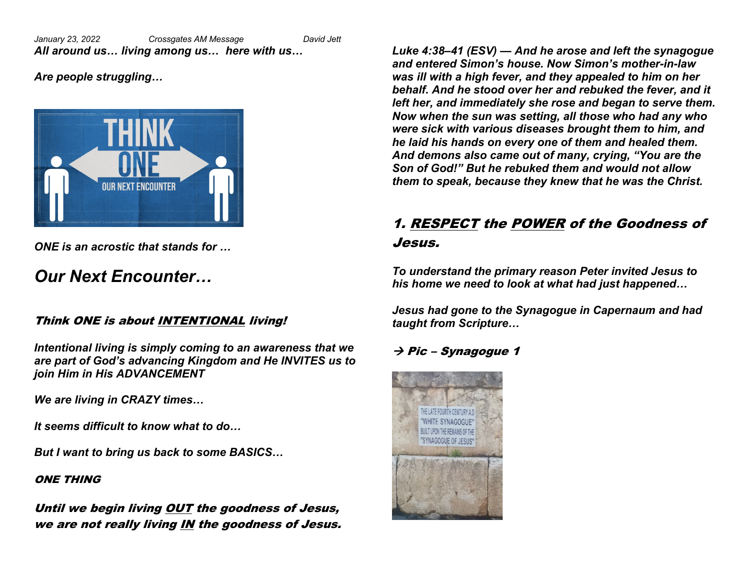*January 23, 2022 Crossgates AM Message David Jett All around us… living among us… here with us…*

*Are people struggling…*



*ONE is an acrostic that stands for …*

# *Our Next Encounter…*

#### Think ONE is about INTENTIONAL living!

*Intentional living is simply coming to an awareness that we are part of God's advancing Kingdom and He INVITES us to join Him in His ADVANCEMENT*

*We are living in CRAZY times…*

*It seems difficult to know what to do…*

*But I want to bring us back to some BASICS…*

#### ONE THING

Until we begin living OUT the goodness of Jesus, we are not really living IN the goodness of Jesus.

*Luke 4:38–41 (ESV) — And he arose and left the synagogue and entered Simon's house. Now Simon's mother-in-law was ill with a high fever, and they appealed to him on her behalf. And he stood over her and rebuked the fever, and it left her, and immediately she rose and began to serve them. Now when the sun was setting, all those who had any who were sick with various diseases brought them to him, and he laid his hands on every one of them and healed them. And demons also came out of many, crying, "You are the Son of God!" But he rebuked them and would not allow them to speak, because they knew that he was the Christ.*

# 1. RESPECT the POWER of the Goodness of Jesus.

*To understand the primary reason Peter invited Jesus to his home we need to look at what had just happened…*

*Jesus had gone to the Synagogue in Capernaum and had taught from Scripture…*

### $\rightarrow$  Pic – Synagogue 1

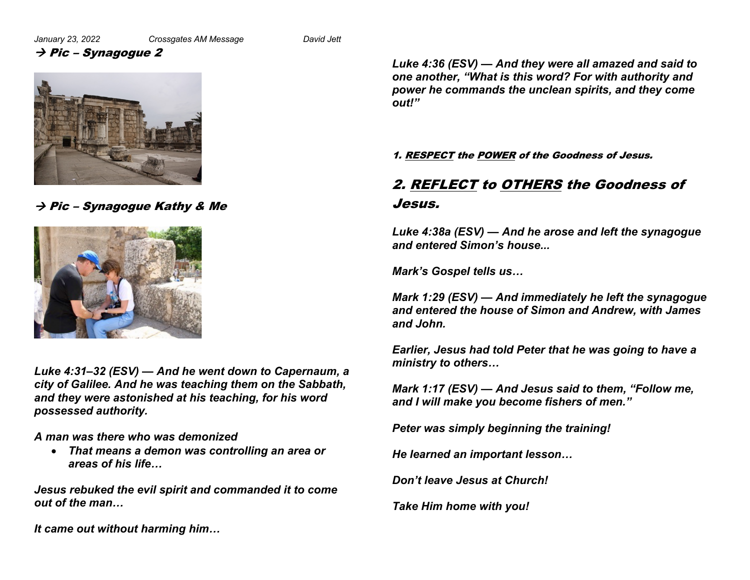#### $\rightarrow$  Pic – Synagogue 2



 $\rightarrow$  Pic – Synagogue Kathy & Me



*Luke 4:31–32 (ESV) — And he went down to Capernaum, a city of Galilee. And he was teaching them on the Sabbath, and they were astonished at his teaching, for his word possessed authority.*

*A man was there who was demonized*

• *That means a demon was controlling an area or areas of his life…*

*Jesus rebuked the evil spirit and commanded it to come out of the man…*

*It came out without harming him…*

*Luke 4:36 (ESV) — And they were all amazed and said to one another, "What is this word? For with authority and power he commands the unclean spirits, and they come out!"*

#### 1. RESPECT the POWER of the Goodness of Jesus.

# 2. REFLECT to OTHERS the Goodness of Jesus.

*Luke 4:38a (ESV) — And he arose and left the synagogue and entered Simon's house...* 

*Mark's Gospel tells us…*

*Mark 1:29 (ESV) — And immediately he left the synagogue and entered the house of Simon and Andrew, with James and John.*

*Earlier, Jesus had told Peter that he was going to have a ministry to others…*

*Mark 1:17 (ESV) — And Jesus said to them, "Follow me, and I will make you become fishers of men."*

*Peter was simply beginning the training!*

*He learned an important lesson…*

*Don't leave Jesus at Church!*

*Take Him home with you!*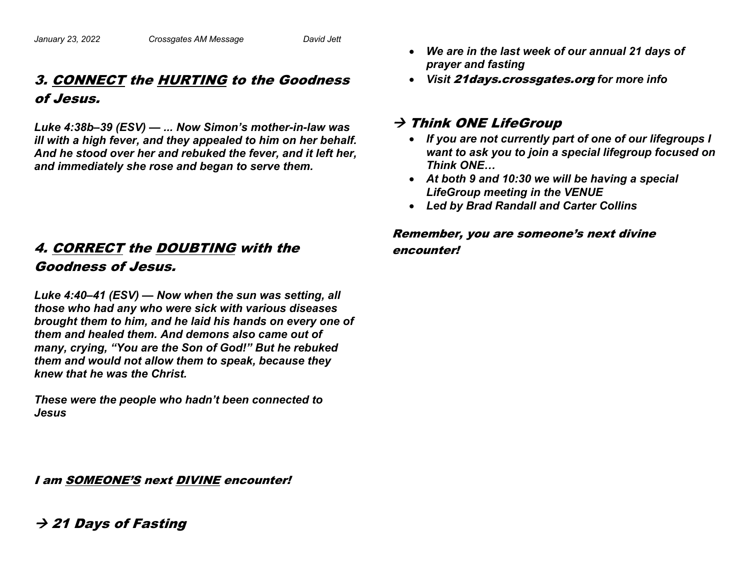# 3. CONNECT the HURTING to the Goodness of Jesus.

*Luke 4:38b–39 (ESV) — ... Now Simon's mother-in-law was ill with a high fever, and they appealed to him on her behalf. And he stood over her and rebuked the fever, and it left her, and immediately she rose and began to serve them.*

## 4. CORRECT the DOUBTING with the Goodness of Jesus.

*Luke 4:40–41 (ESV) — Now when the sun was setting, all those who had any who were sick with various diseases brought them to him, and he laid his hands on every one of them and healed them. And demons also came out of many, crying, "You are the Son of God!" But he rebuked them and would not allow them to speak, because they knew that he was the Christ.*

*These were the people who hadn't been connected to Jesus*

I am SOMEONE'S next DIVINE encounter!

- *We are in the last week of our annual 21 days of prayer and fasting*
- *Visit* 21days.crossgates.org *for more info*

#### $\rightarrow$  Think ONE LifeGroup

- *If you are not currently part of one of our lifegroups I want to ask you to join a special lifegroup focused on Think ONE…*
- *At both 9 and 10:30 we will be having a special LifeGroup meeting in the VENUE*
- *Led by Brad Randall and Carter Collins*

#### Remember, you are someone's next divine encounter!

## $\rightarrow$  21 Days of Fasting